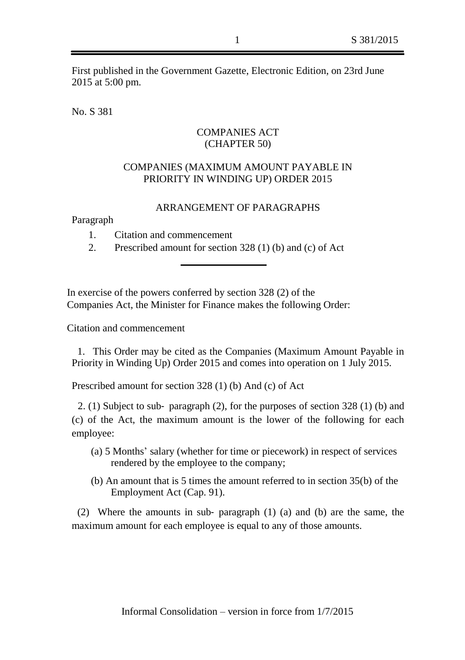First published in the Government Gazette, Electronic Edition, on 23rd June 2015 at 5:00 pm.

No. S 381

## COMPANIES ACT (CHAPTER 50)

## COMPANIES (MAXIMUM AMOUNT PAYABLE IN PRIORITY IN WINDING UP) ORDER 2015

## ARRANGEMENT OF PARAGRAPHS

Paragraph

- 1. Citation and commencement
- 2. Prescribed amount for section 328 (1) (b) and (c) of Act

In exercise of the powers conferred by section 328 (2) of the Companies Act, the Minister for Finance makes the following Order:

Citation and commencement

1. This Order may be cited as the Companies (Maximum Amount Payable in Priority in Winding Up) Order 2015 and comes into operation on 1 July 2015.

Prescribed amount for section 328 (1) (b) And (c) of Act

2. (1) Subject to sub‑ paragraph (2), for the purposes of section 328 (1) (b) and (c) of the Act, the maximum amount is the lower of the following for each employee:

- (a) 5 Months' salary (whether for time or piecework) in respect of services rendered by the employee to the company;
- (b) An amount that is 5 times the amount referred to in section 35(b) of the Employment Act (Cap. 91).

(2) Where the amounts in sub‑ paragraph (1) (a) and (b) are the same, the maximum amount for each employee is equal to any of those amounts.